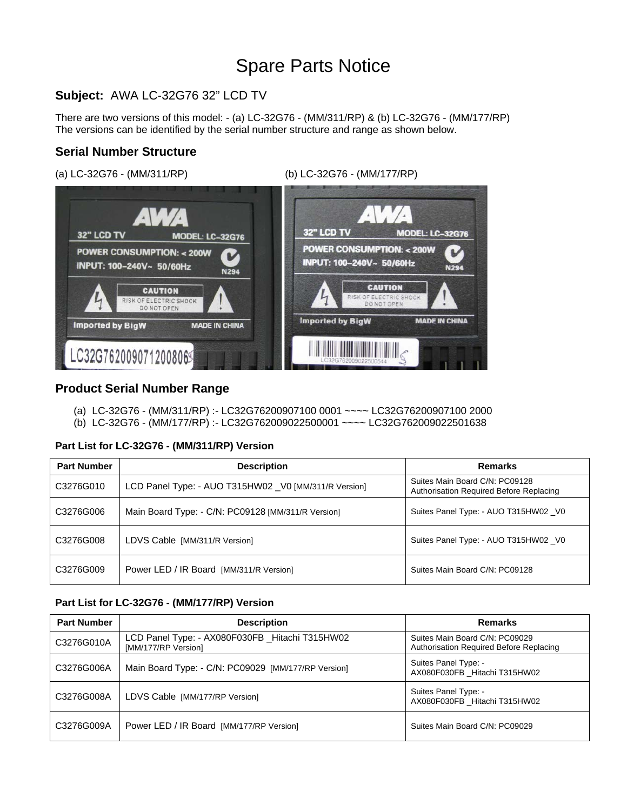# Spare Parts Notice

## **Subject:** AWA LC-32G76 32" LCD TV

There are two versions of this model: - (a) LC-32G76 - (MM/311/RP) & (b) LC-32G76 - (MM/177/RP) The versions can be identified by the serial number structure and range as shown below.

#### **Serial Number Structure**

(a) LC-32G76 - (MM/311/RP) (b) LC-32G76 - (MM/177/RP)



#### **Product Serial Number Range**

- (a) LC-32G76 (MM/311/RP) :- LC32G76200907100 0001 ~~~~ LC32G76200907100 2000
- (b) LC-32G76 (MM/177/RP) :- LC32G762009022500001 ~~~~ LC32G762009022501638

#### **Part List for LC-32G76 - (MM/311/RP) Version**

| <b>Part Number</b> | <b>Description</b>                                   | <b>Remarks</b>                                                            |
|--------------------|------------------------------------------------------|---------------------------------------------------------------------------|
| C3276G010          | LCD Panel Type: - AUO T315HW02 V0 [MM/311/R Version] | Suites Main Board C/N: PC09128<br>Authorisation Required Before Replacing |
| C3276G006          | Main Board Type: - C/N: PC09128 [MM/311/R Version]   | Suites Panel Type: - AUO T315HW02 _V0                                     |
| C3276G008          | LDVS Cable [MM/311/R Version]                        | Suites Panel Type: - AUO T315HW02 _V0                                     |
| C3276G009          | Power LED / IR Board [MM/311/R Version]              | Suites Main Board C/N: PC09128                                            |

#### **Part List for LC-32G76 - (MM/177/RP) Version**

| <b>Part Number</b> | <b>Description</b>                                                     | <b>Remarks</b>                                                            |
|--------------------|------------------------------------------------------------------------|---------------------------------------------------------------------------|
| C3276G010A         | LCD Panel Type: - AX080F030FB _Hitachi T315HW02<br>[MM/177/RP Version] | Suites Main Board C/N: PC09029<br>Authorisation Required Before Replacing |
| C3276G006A         | Main Board Type: - C/N: PC09029 [MM/177/RP Version]                    | Suites Panel Type: -<br>AX080F030FB Hitachi T315HW02                      |
| C3276G008A         | LDVS Cable [MM/177/RP Version]                                         | Suites Panel Type: -<br>AX080F030FB_Hitachi T315HW02                      |
| C3276G009A         | Power LED / IR Board [MM/177/RP Version]                               | Suites Main Board C/N: PC09029                                            |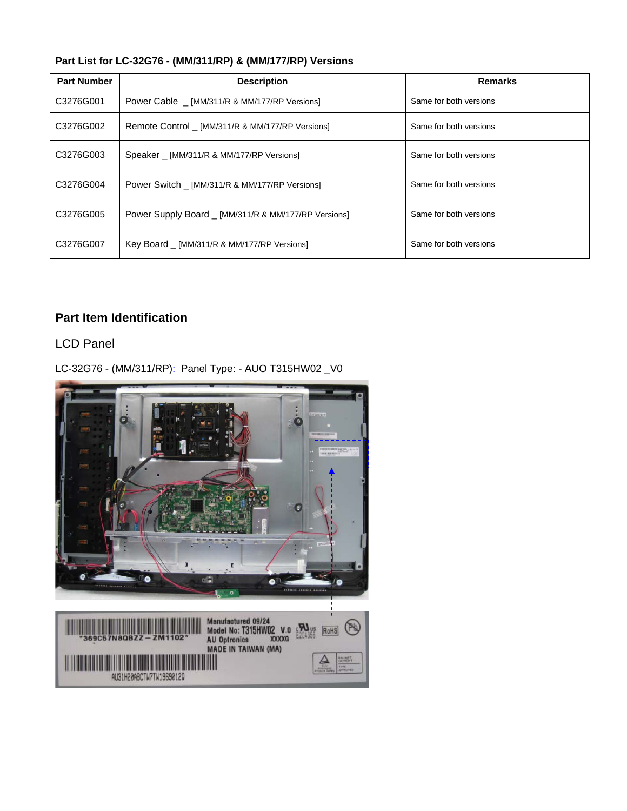| Part List for LC-32G76 - (MM/311/RP) & (MM/177/RP) Versions |  |  |  |  |
|-------------------------------------------------------------|--|--|--|--|
|-------------------------------------------------------------|--|--|--|--|

| <b>Part Number</b> | <b>Description</b>                                   | <b>Remarks</b>         |
|--------------------|------------------------------------------------------|------------------------|
| C3276G001          | Power Cable [MM/311/R & MM/177/RP Versions]          | Same for both versions |
| C3276G002          | Remote Control _ [MM/311/R & MM/177/RP Versions]     | Same for both versions |
| C3276G003          | Speaker [MM/311/R & MM/177/RP Versions]              | Same for both versions |
| C3276G004          | Power Switch [MM/311/R & MM/177/RP Versions]         | Same for both versions |
| C3276G005          | Power Supply Board _ [MM/311/R & MM/177/RP Versions] | Same for both versions |
| C3276G007          | Key Board _ [MM/311/R & MM/177/RP Versions]          | Same for both versions |

## **Part Item Identification**

LCD Panel

LC-32G76 - (MM/311/RP): Panel Type: - AUO T315HW02 \_V0

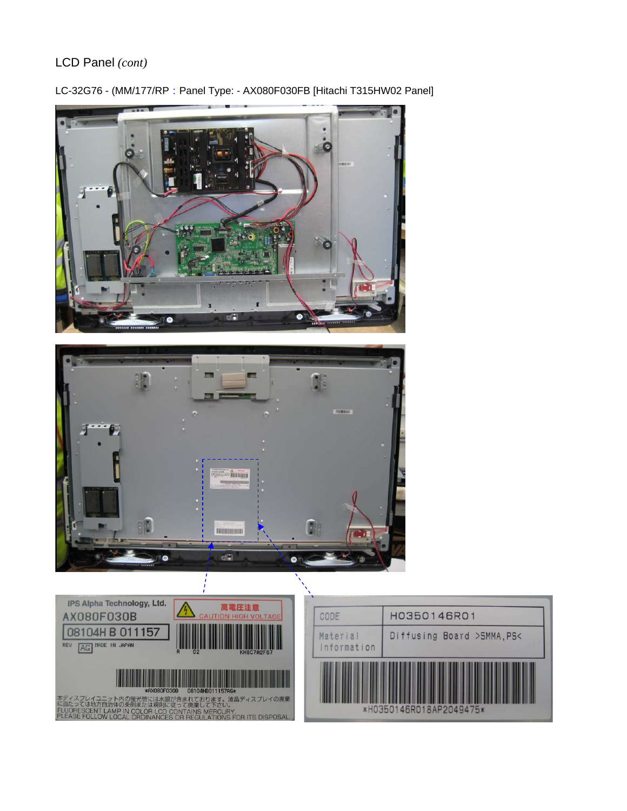## LCD Panel *(cont)*



LC-32G76 - (MM/177/RP: Panel Type: - AX080F030FB [Hitachi T315HW02 Panel]



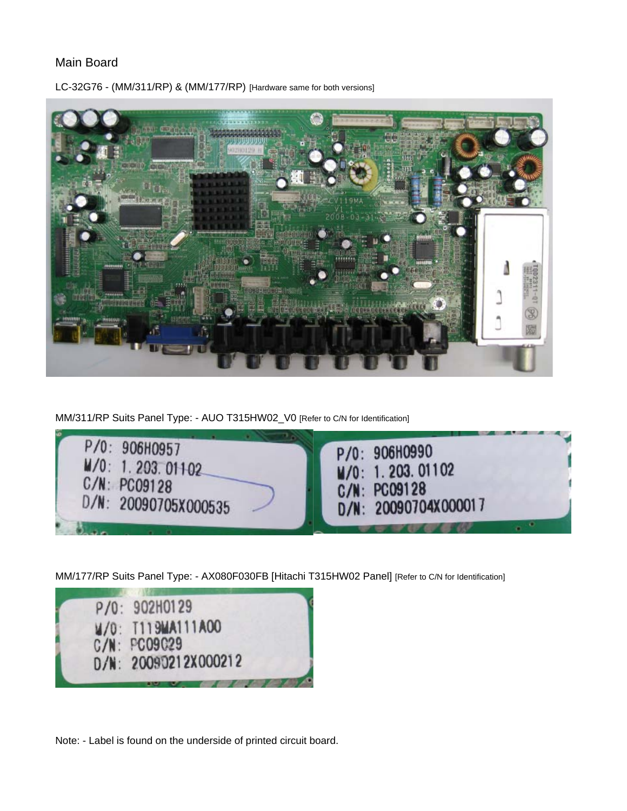#### Main Board



LC-32G76 - (MM/311/RP) & (MM/177/RP) [Hardware same for both versions]

MM/311/RP Suits Panel Type: - AUO T315HW02\_V0 [Refer to C/N for Identification]



MM/177/RP Suits Panel Type: - AX080F030FB [Hitachi T315HW02 Panel] [Refer to C/N for Identification]



Note: - Label is found on the underside of printed circuit board.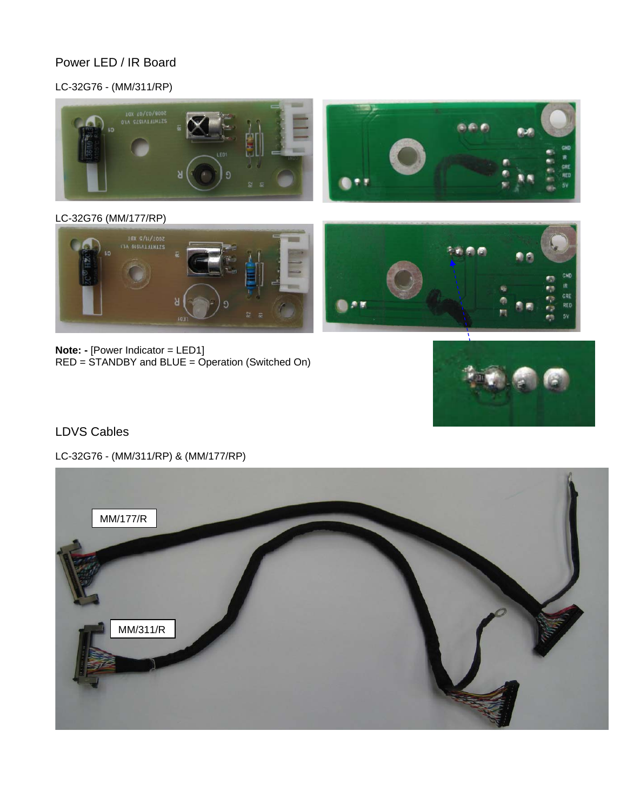## Power LED / IR Board

## LC-32G76 - (MM/311/RP)



### LC-32G76 (MM/177/RP)



**Note: -** [Power Indicator = LED1] RED = STANDBY and BLUE = Operation (Switched On)



## LDVS Cables

LC-32G76 - (MM/311/RP) & (MM/177/RP)

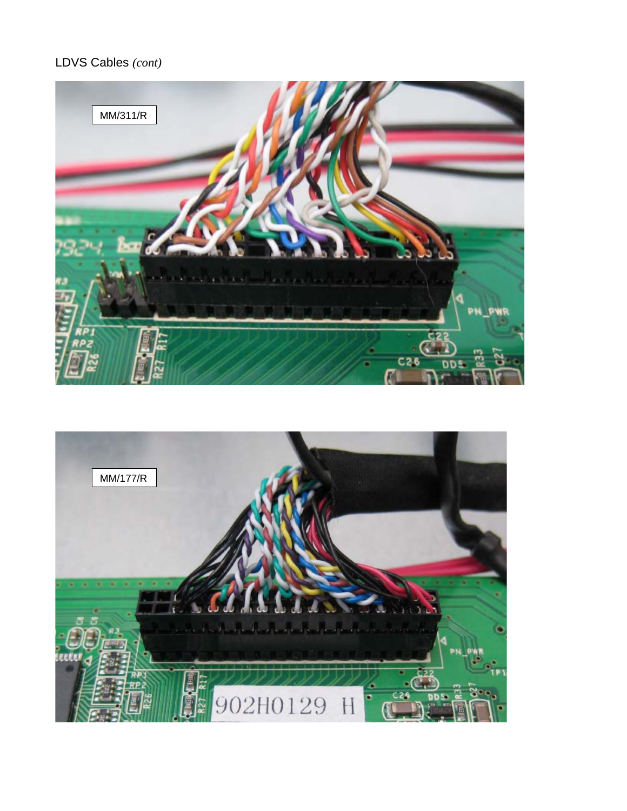# LDVS Cables *(cont)*